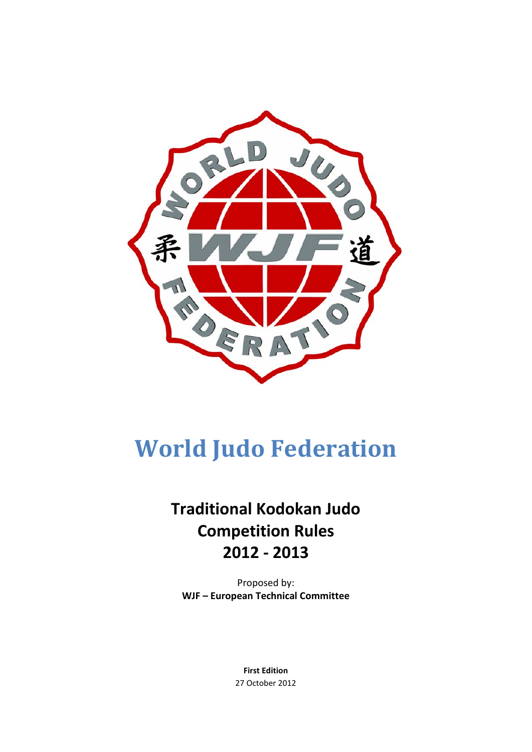

# **World Judo Federation**

# **Traditional Kodokan Judo Competition Rules 2012 - 2013**

Proposed by: **WJF – European Technical Committee**

> **First Edition** 27 October 2012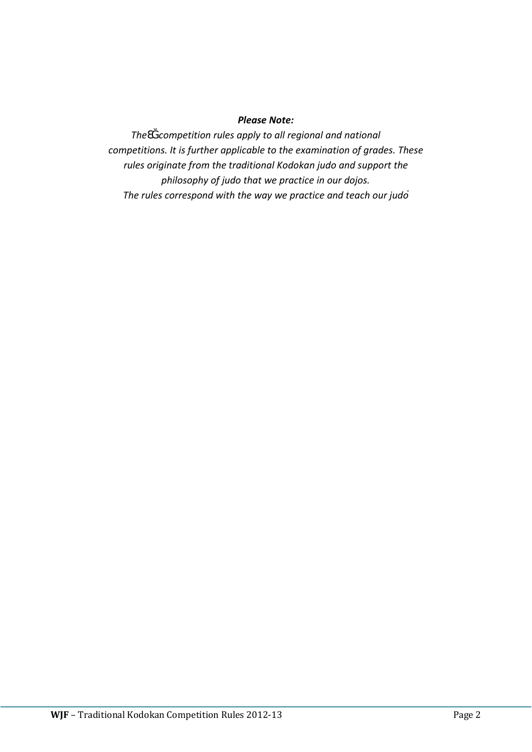#### *Please Note:*

*TheƐĞ competition rules apply to all regional and national competitions. It is further applicable to the examination of grades. These rules originate from the traditional Kodokan judo and support the philosophy of judo that we practice in our dojos. The rules correspond with the way we practice and teach our judo*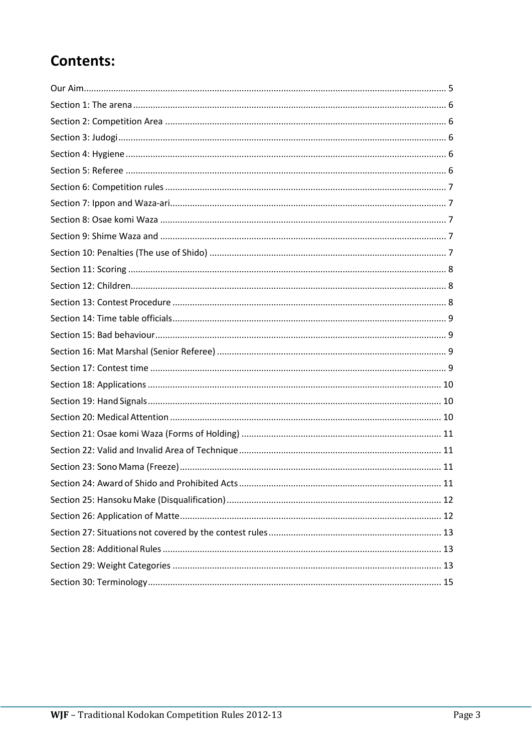# **Contents:**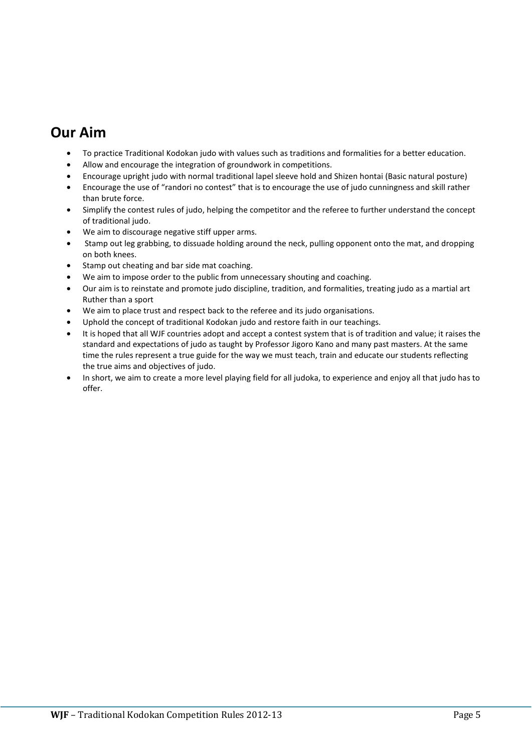### <span id="page-4-0"></span>**Our Aim**

- To practice Traditional Kodokan judo with values such as traditions and formalities for a better education.
- Allow and encourage the integration of groundwork in competitions.
- Encourage upright judo with normal traditional lapel sleeve hold and Shizen hontai (Basic natural posture)
- Encourage the use of "randori no contest" that is to encourage the use of judo cunningness and skill rather than brute force.
- Simplify the contest rules of judo, helping the competitor and the referee to further understand the concept of traditional judo.
- We aim to discourage negative stiff upper arms.
- Stamp out leg grabbing, to dissuade holding around the neck, pulling opponent onto the mat, and dropping on both knees.
- Stamp out cheating and bar side mat coaching.
- We aim to impose order to the public from unnecessary shouting and coaching.
- Our aim is to reinstate and promote judo discipline, tradition, and formalities, treating judo as a martial art Ruther than a sport
- We aim to place trust and respect back to the referee and its judo organisations.
- Uphold the concept of traditional Kodokan judo and restore faith in our teachings.
- It is hoped that all WJF countries adopt and accept a contest system that is of tradition and value; it raises the standard and expectations of judo as taught by Professor Jigoro Kano and many past masters. At the same time the rules represent a true guide for the way we must teach, train and educate our students reflecting the true aims and objectives of judo.
- In short, we aim to create a more level playing field for all judoka, to experience and enjoy all that judo has to offer.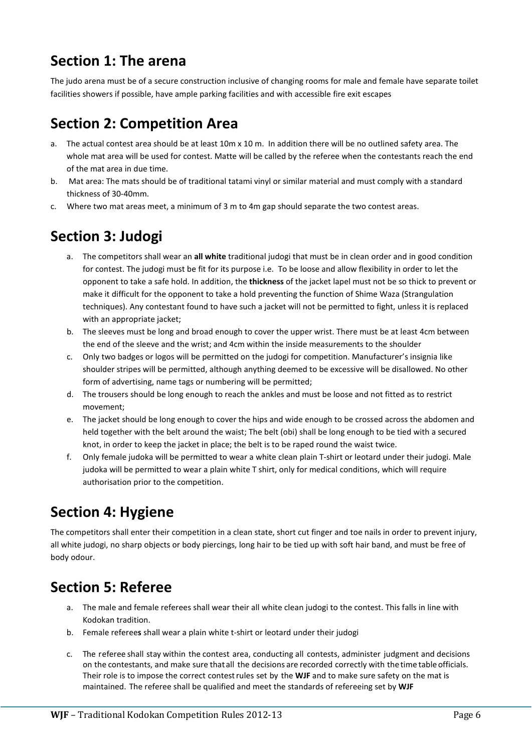# <span id="page-5-0"></span>**Section 1: The arena**

The judo arena must be of a secure construction inclusive of changing rooms for male and female have separate toilet facilities showers if possible, have ample parking facilities and with accessible fire exit escapes

# <span id="page-5-1"></span>**Section 2: Competition Area**

- a. The actual contest area should be at least 10m x 10 m. In addition there will be no outlined safety area. The whole mat area will be used for contest. Matte will be called by the referee when the contestants reach the end of the mat area in due time.
- b. Mat area: The mats should be of traditional tatami vinyl or similar material and must comply with a standard thickness of 30-40mm.
- <span id="page-5-2"></span>c. Where two mat areas meet, a minimum of 3 m to 4m gap should separate the two contest areas.

### **Section 3: Judogi**

- a. The competitors shall wear an **all white** traditional judogi that must be in clean order and in good condition for contest. The judogi must be fit for its purpose i.e. To be loose and allow flexibility in order to let the opponent to take a safe hold. In addition, the **thickness** of the jacket lapel must not be so thick to prevent or make it difficult for the opponent to take a hold preventing the function of Shime Waza (Strangulation techniques). Any contestant found to have such a jacket will not be permitted to fight, unless it is replaced with an appropriate jacket;
- b. The sleeves must be long and broad enough to cover the upper wrist. There must be at least 4cm between the end of the sleeve and the wrist; and 4cm within the inside measurements to the shoulder
- c. Only two badges or logos will be permitted on the judogi for competition. Manufacturer's insignia like shoulder stripes will be permitted, although anything deemed to be excessive will be disallowed. No other form of advertising, name tags or numbering will be permitted;
- d. The trousers should be long enough to reach the ankles and must be loose and not fitted as to restrict movement;
- e. The jacket should be long enough to cover the hips and wide enough to be crossed across the abdomen and held together with the belt around the waist; The belt (obi) shall be long enough to be tied with a secured knot, in order to keep the jacket in place; the belt is to be raped round the waist twice.
- f. Only female judoka will be permitted to wear a white clean plain T-shirt or leotard under their judogi. Male judoka will be permitted to wear a plain white T shirt, only for medical conditions, which will require authorisation prior to the competition.

# <span id="page-5-3"></span>**Section 4: Hygiene**

The competitors shall enter their competition in a clean state, short cut finger and toe nails in order to prevent injury, all white judogi, no sharp objects or body piercings, long hair to be tied up with soft hair band, and must be free of body odour.

# <span id="page-5-4"></span>**Section 5: Referee**

- a. The male and female referees shall wear their all white clean judogi to the contest. This falls in line with Kodokan tradition.
- b. Female referee**s** shall wear a plain white t-shirt or leotard under their judogi
- c. The referee shall stay within the contest area, conducting all contests, administer judgment and decisions on the contestants, and make sure that all the decisions are recorded correctly with the time tableofficials. Their role is to impose the correct contestrules set by the **WJF** and to make sure safety on the mat is maintained. The referee shall be qualified and meet the standards of refereeing set by **WJF**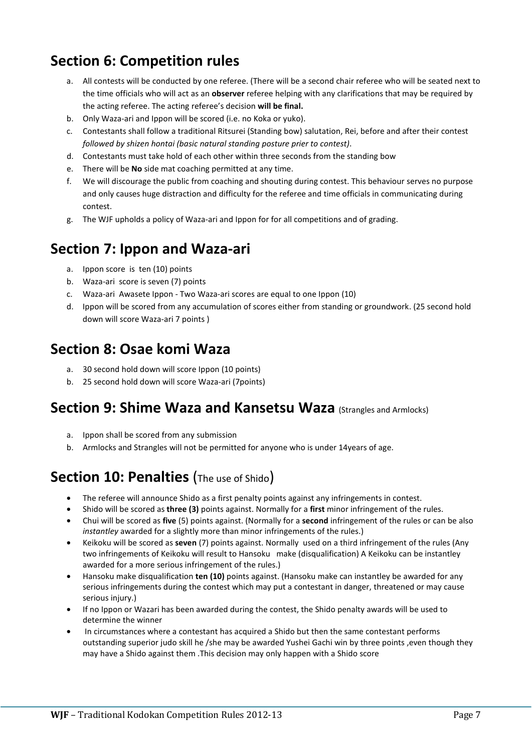# <span id="page-6-0"></span>**Section 6: Competition rules**

- a. All contests will be conducted by one referee. (There will be a second chair referee who will be seated next to the time officials who will act as an **observer** referee helping with any clarifications that may be required by the acting referee. The acting referee's decision **will be final.**
- b. Only Waza-ari and Ippon will be scored (i.e. no Koka or yuko).
- c. Contestants shall follow a traditional Ritsurei (Standing bow) salutation, Rei, before and after their contest *followed by shizen hontai (basic natural standing posture prier to contest)*.
- d. Contestants must take hold of each other within three seconds from the standing bow
- e. There will be **No** side mat coaching permitted at any time.
- f. We will discourage the public from coaching and shouting during contest. This behaviour serves no purpose and only causes huge distraction and difficulty for the referee and time officials in communicating during contest.
- g. The WJF upholds a policy of Waza-ari and Ippon for for all competitions and of grading.

#### <span id="page-6-1"></span>**Section 7: Ippon and Waza-ari**

- a. Ippon score is ten (10) points
- b. Waza-ari score is seven (7) points
- c. Waza-ari Awasete Ippon Two Waza-ari scores are equal to one Ippon (10)
- d. Ippon will be scored from any accumulation of scores either from standing or groundwork. (25 second hold down will score Waza-ari 7 points )

#### <span id="page-6-2"></span>**Section 8: Osae komi Waza**

- a. 30 second hold down will score Ippon (10 points)
- b. 25 second hold down will score Waza-ari (7points)

#### <span id="page-6-3"></span>**Section 9: Shime Waza and Kansetsu Waza (Strangles and Armlocks)**

- a. Ippon shall be scored from any submission
- b. Armlocks and Strangles will not be permitted for anyone who is under 14years of age.

### <span id="page-6-4"></span>**Section 10: Penalties** (The use of Shido)

- The referee will announce Shido as a first penalty points against any infringements in contest.
- Shido will be scored as **three (3)** points against. Normally for a **first** minor infringement of the rules.
- Chui will be scored as **five** (5) points against. (Normally for a **second** infringement of the rules or can be also *instantley* awarded for a slightly more than minor infringements of the rules.)
- Keikoku will be scored as **seven** (7) points against. Normally used on a third infringement of the rules (Any two infringements of Keikoku will result to Hansoku make (disqualification) A Keikoku can be instantley awarded for a more serious infringement of the rules.)
- Hansoku make disqualification **ten (10)** points against. (Hansoku make can instantley be awarded for any serious infringements during the contest which may put a contestant in danger, threatened or may cause serious injury.)
- If no Ippon or Wazari has been awarded during the contest, the Shido penalty awards will be used to determine the winner
- In circumstances where a contestant has acquired a Shido but then the same contestant performs outstanding superior judo skill he /she may be awarded Yushei Gachi win by three points ,even though they may have a Shido against them .This decision may only happen with a Shido score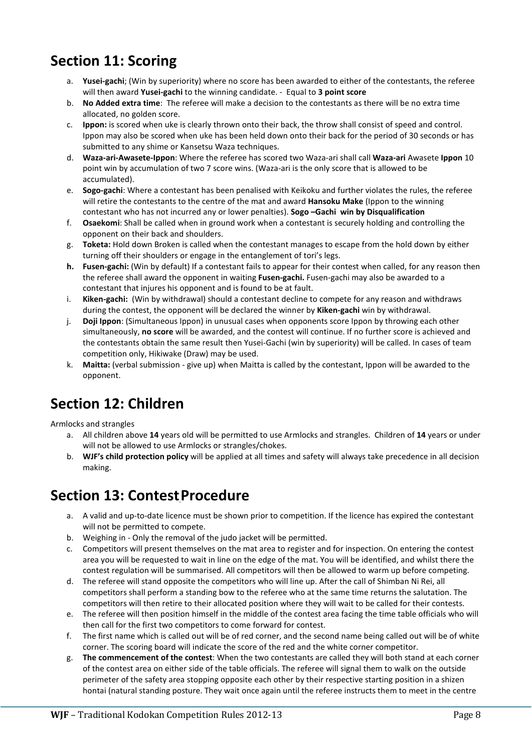# <span id="page-7-0"></span>**Section 11: Scoring**

- a. **Yusei-gachi**; (Win by superiority) where no score has been awarded to either of the contestants, the referee will then award **Yusei-gachi** to the winning candidate. - Equal to **3 point score**
- b. **No Added extra time**: The referee will make a decision to the contestants as there will be no extra time allocated, no golden score.
- c. **Ippon:** is scored when uke is clearly thrown onto their back, the throw shall consist of speed and control. Ippon may also be scored when uke has been held down onto their back for the period of 30 seconds or has submitted to any shime or Kansetsu Waza techniques.
- d. **Waza-ari-Awasete-Ippon**: Where the referee has scored two Waza-ari shall call **Waza-ari** Awasete **Ippon** 10 point win by accumulation of two 7 score wins. (Waza-ari is the only score that is allowed to be accumulated).
- e. **Sogo-gachi**: Where a contestant has been penalised with Keikoku and further violates the rules, the referee will retire the contestants to the centre of the mat and award **Hansoku Make** (Ippon to the winning contestant who has not incurred any or lower penalties). **Sogo –Gachi win by Disqualification**
- f. **Osaekomi**: Shall be called when in ground work when a contestant is securely holding and controlling the opponent on their back and shoulders.
- g. **Toketa:** Hold down Broken is called when the contestant manages to escape from the hold down by either turning off their shoulders or engage in the entanglement of tori's legs.
- **h. Fusen-gachi:** (Win by default) If a contestant fails to appear for their contest when called, for any reason then the referee shall award the opponent in waiting **Fusen-gachi.** Fusen-gachi may also be awarded to a contestant that injures his opponent and is found to be at fault.
- i. **Kiken-gachi:** (Win by withdrawal) should a contestant decline to compete for any reason and withdraws during the contest, the opponent will be declared the winner by **Kiken-gachi** win by withdrawal.
- j. **Doji Ippon**: (Simultaneous Ippon) in unusual cases when opponents score Ippon by throwing each other simultaneously, **no score** will be awarded, and the contest will continue. If no further score is achieved and the contestants obtain the same result then Yusei-Gachi (win by superiority) will be called. In cases of team competition only, Hikiwake (Draw) may be used.
- k. **Maitta:** (verbal submission give up) when Maitta is called by the contestant, Ippon will be awarded to the opponent.

### <span id="page-7-1"></span>**Section 12: Children**

Armlocks and strangles

- a. All children above **14** years old will be permitted to use Armlocks and strangles. Children of **14** years or under will not be allowed to use Armlocks or strangles/chokes.
- b. **WJF's child protection policy** will be applied at all times and safety will always take precedence in all decision making.

#### <span id="page-7-2"></span>**Section 13: ContestProcedure**

- a. A valid and up-to-date licence must be shown prior to competition. If the licence has expired the contestant will not be permitted to compete.
- b. Weighing in Only the removal of the judo jacket will be permitted.
- c. Competitors will present themselves on the mat area to register and for inspection. On entering the contest area you will be requested to wait in line on the edge of the mat. You will be identified, and whilst there the contest regulation will be summarised. All competitors will then be allowed to warm up before competing.
- d. The referee will stand opposite the competitors who will line up. After the call of Shimban Ni Rei, all competitors shall perform a standing bow to the referee who at the same time returns the salutation. The competitors will then retire to their allocated position where they will wait to be called for their contests.
- e. The referee will then position himself in the middle of the contest area facing the time table officials who will then call for the first two competitors to come forward for contest.
- f. The first name which is called out will be of red corner, and the second name being called out will be of white corner. The scoring board will indicate the score of the red and the white corner competitor.
- g. **The commencement of the contest**: When the two contestants are called they will both stand at each corner of the contest area on either side of the table officials. The referee will signal them to walk on the outside perimeter of the safety area stopping opposite each other by their respective starting position in a shizen hontai (natural standing posture. They wait once again until the referee instructs them to meet in the centre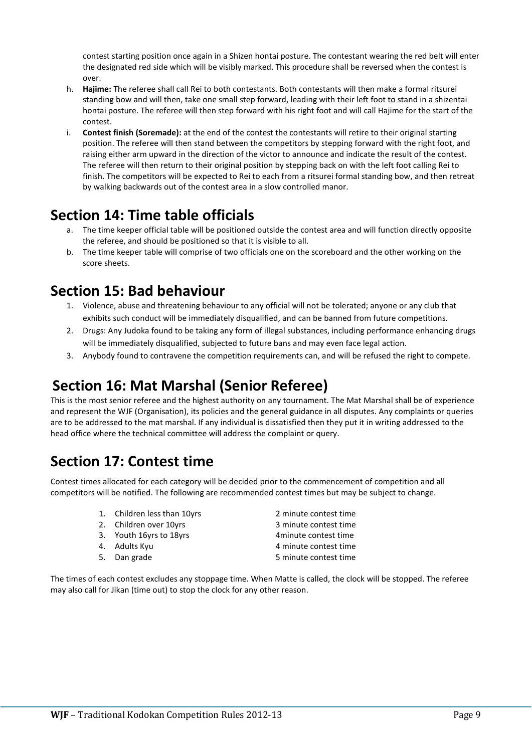contest starting position once again in a Shizen hontai posture. The contestant wearing the red belt will enter the designated red side which will be visibly marked. This procedure shall be reversed when the contest is over.

- h. **Hajime:** The referee shall call Rei to both contestants. Both contestants will then make a formal ritsurei standing bow and will then, take one small step forward, leading with their left foot to stand in a shizentai hontai posture. The referee will then step forward with his right foot and will call Hajime for the start of the contest.
- i. **Contest finish (Soremade):** at the end of the contest the contestants will retire to their original starting position. The referee will then stand between the competitors by stepping forward with the right foot, and raising either arm upward in the direction of the victor to announce and indicate the result of the contest. The referee will then return to their original position by stepping back on with the left foot calling Rei to finish. The competitors will be expected to Rei to each from a ritsurei formal standing bow, and then retreat by walking backwards out of the contest area in a slow controlled manor.

### <span id="page-8-0"></span>**Section 14: Time table officials**

- a. The time keeper official table will be positioned outside the contest area and will function directly opposite the referee, and should be positioned so that it is visible to all.
- b. The time keeper table will comprise of two officials one on the scoreboard and the other working on the score sheets.

#### <span id="page-8-1"></span>**Section 15: Bad behaviour**

- 1. Violence, abuse and threatening behaviour to any official will not be tolerated; anyone or any club that exhibits such conduct will be immediately disqualified, and can be banned from future competitions.
- 2. Drugs: Any Judoka found to be taking any form of illegal substances, including performance enhancing drugs will be immediately disqualified, subjected to future bans and may even face legal action.
- 3. Anybody found to contravene the competition requirements can, and will be refused the right to compete.

# <span id="page-8-2"></span>**Section 16: Mat Marshal (Senior Referee)**

This is the most senior referee and the highest authority on any tournament. The Mat Marshal shall be of experience and represent the WJF (Organisation), its policies and the general guidance in all disputes. Any complaints or queries are to be addressed to the mat marshal. If any individual is dissatisfied then they put it in writing addressed to the head office where the technical committee will address the complaint or query.

# <span id="page-8-3"></span>**Section 17: Contest time**

Contest times allocated for each category will be decided prior to the commencement of competition and all competitors will be notified. The following are recommended contest times but may be subject to change.

- 1. Children less than 10yrs 2 minute contest time
- 2. Children over 10yrs 3 minute contest time
- 
- 
- 
- 3. Youth 16yrs to 18yrs 1998 and 1998 4 minute contest time<br>4. Adults Kyu 1999 4 minute contest time 4 minute contest time 5. Dan grade 5 minute contest time

The times of each contest excludes any stoppage time. When Matte is called, the clock will be stopped. The referee may also call for Jikan (time out) to stop the clock for any other reason.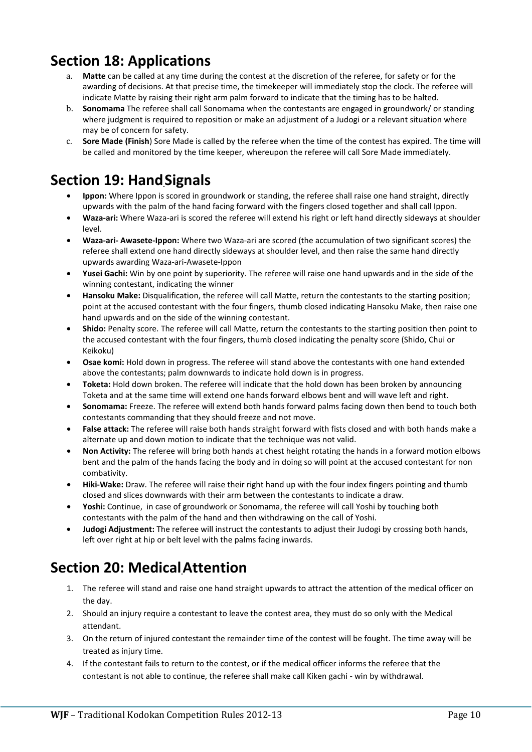### <span id="page-9-0"></span>**Section 18: Applications**

- a. **Matte** can be called at any time during the contest at the discretion of the referee, for safety or for the awarding of decisions. At that precise time, the timekeeper will immediately stop the clock. The referee will indicate Matte by raising their right arm palm forward to indicate that the timing has to be halted.
- b. **Sonomama** The referee shall call Sonomama when the contestants are engaged in groundwork/ or standing where judgment is required to reposition or make an adjustment of a Judogi or a relevant situation where may be of concern for safety.
- c. **Sore Made (Finish**) Sore Made is called by the referee when the time of the contest has expired. The time will be called and monitored by the time keeper, whereupon the referee will call Sore Made immediately.

# <span id="page-9-1"></span>**Section 19: HandSignals**

- **Ippon:** Where Ippon is scored in groundwork or standing, the referee shall raise one hand straight, directly upwards with the palm of the hand facing forward with the fingers closed together and shall call Ippon.
- **Waza-ari:** Where Waza-ari is scored the referee will extend his right or left hand directly sideways at shoulder level.
- **Waza-ari- Awasete-Ippon:** Where two Waza-ari are scored (the accumulation of two significant scores) the referee shall extend one hand directly sideways at shoulder level, and then raise the same hand directly upwards awarding Waza-ari-Awasete-Ippon
- **Yusei Gachi:** Win by one point by superiority. The referee will raise one hand upwards and in the side of the winning contestant, indicating the winner
- **Hansoku Make:** Disqualification, the referee will call Matte, return the contestants to the starting position; point at the accused contestant with the four fingers, thumb closed indicating Hansoku Make, then raise one hand upwards and on the side of the winning contestant.
- **Shido:** Penalty score. The referee will call Matte, return the contestants to the starting position then point to the accused contestant with the four fingers, thumb closed indicating the penalty score (Shido, Chui or Keikoku)
- **Osae komi:** Hold down in progress. The referee will stand above the contestants with one hand extended above the contestants; palm downwards to indicate hold down is in progress.
- **Toketa:** Hold down broken. The referee will indicate that the hold down has been broken by announcing Toketa and at the same time will extend one hands forward elbows bent and will wave left and right.
- **Sonomama:** Freeze. The referee will extend both hands forward palms facing down then bend to touch both contestants commanding that they should freeze and not move.
- **False attack:** The referee will raise both hands straight forward with fists closed and with both hands make a alternate up and down motion to indicate that the technique was not valid.
- **Non Activity:** The referee will bring both hands at chest height rotating the hands in a forward motion elbows bent and the palm of the hands facing the body and in doing so will point at the accused contestant for non combativity.
- **Hiki-Wake:** Draw. The referee will raise their right hand up with the four index fingers pointing and thumb closed and slices downwards with their arm between the contestants to indicate a draw.
- **Yoshi:** Continue, in case of groundwork or Sonomama, the referee will call Yoshi by touching both contestants with the palm of the hand and then withdrawing on the call of Yoshi.
- **Judogi Adjustment:** The referee will instruct the contestants to adjust their Judogi by crossing both hands, left over right at hip or belt level with the palms facing inwards.

# <span id="page-9-2"></span>**Section 20: MedicalAttention**

- 1. The referee will stand and raise one hand straight upwards to attract the attention of the medical officer on the day.
- 2. Should an injury require a contestant to leave the contest area, they must do so only with the Medical attendant.
- 3. On the return of injured contestant the remainder time of the contest will be fought. The time away will be treated as injury time.
- 4. If the contestant fails to return to the contest, or if the medical officer informs the referee that the contestant is not able to continue, the referee shall make call Kiken gachi - win by withdrawal.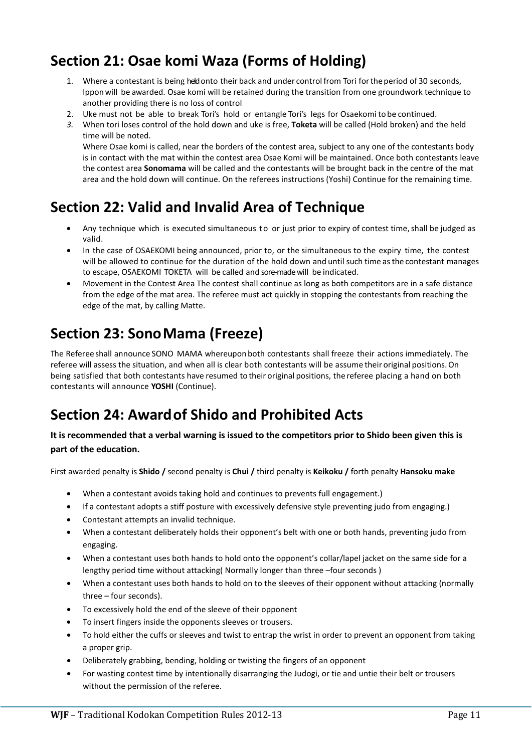# <span id="page-10-0"></span>**Section 21: [Osae komi Waza](http://www.judoforall.org.uk/documents/contest-rules/osaekomi-waza-forms-of-holding) (Forms of Holding)**

- 1. Where a contestant is being heldonto their back and under control from Tori fortheperiod of 30 seconds, Ipponwill be awarded. Osae komi will be retained during the transition from one groundwork technique to another providing there is no loss of control
- 2. Uke must not be able to break Tori's hold or entangle Tori's legs for Osaekomi to be continued.
- *3.* When tori loses control of the hold down and uke is free, **Toketa** will be called (Hold broken) and the held time will be noted.

Where Osae komi is called, near the borders of the contest area, subject to any one of the contestants body is in contact with the mat within the contest area Osae Komi will be maintained. Once both contestants leave the contest area **Sonomama** will be called and the contestants will be brought back in the centre of the mat area and the hold down will continue. On the referees instructions (Yoshi) Continue for the remaining time.

### <span id="page-10-1"></span>**Section 22: Valid and Invalid Area of Technique**

- Any technique which is executed simultaneous to or just prior to expiry of contest time, shall be judged as valid.
- In the case of OSAEKOMI being announced, prior to, or the simultaneous to the expiry time, the contest will be allowed to continue for the duration of the hold down and until such time asthe contestant manages to escape, OSAEKOMI TOKETA will be called and sore-made will be indicated.
- Movement in the Contest Area The contest shall continue as long as both competitors are in a safe distance from the edge of the mat area. The referee must act quickly in stopping the contestants from reaching the edge of the mat, by calling Matte.

### <span id="page-10-2"></span>**Section 23: SonoMama (Freeze)**

The Referee shall announce SONO MAMA whereupon both contestants shall freeze their actions immediately. The referee will assess the situation, and when all is clear both contestants will be assume their original positions.On being satisfied that both contestants have resumed to their original positions, the referee placing a hand on both contestants will announce **YOSHI** (Continue).

# <span id="page-10-3"></span>**Section 24: Awardof Shido and Prohibited Acts**

**It is recommended that a verbal warning is issued to the competitors prior to Shido been given this is part of the education.**

First awarded penalty is **Shido /** second penalty is **Chui /** third penalty is **Keikoku /** forth penalty **Hansoku make**

- When a contestant avoids taking hold and continues to prevents full engagement.)
- If a contestant adopts a stiff posture with excessively defensive style preventing judo from engaging.)
- Contestant attempts an invalid technique.
- When a contestant deliberately holds their opponent's belt with one or both hands, preventing judo from engaging.
- When a contestant uses both hands to hold onto the opponent's collar/lapel jacket on the same side for a lengthy period time without attacking( Normally longer than three –four seconds )
- When a contestant uses both hands to hold on to the sleeves of their opponent without attacking (normally three – four seconds).
- To excessively hold the end of the sleeve of their opponent
- To insert fingers inside the opponents sleeves or trousers.
- To hold either the cuffs or sleeves and twist to entrap the wrist in order to prevent an opponent from taking a proper grip.
- Deliberately grabbing, bending, holding or twisting the fingers of an opponent
- For wasting contest time by intentionally disarranging the Judogi, or tie and untie their belt or trousers without the permission of the referee.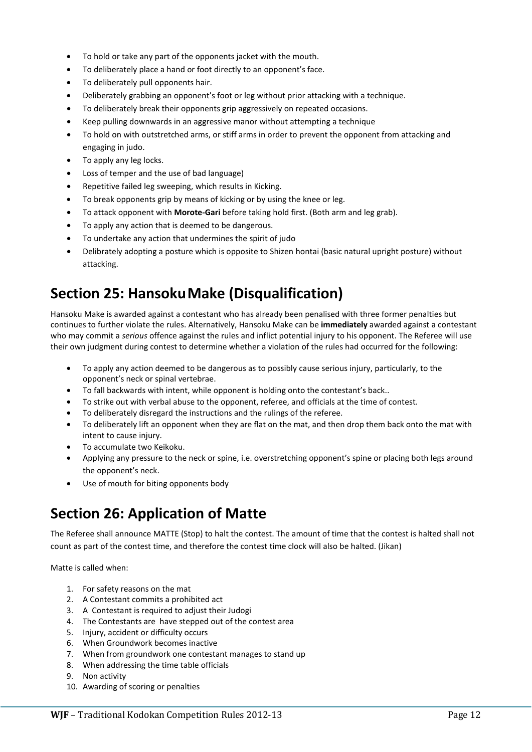- To hold or take any part of the opponents jacket with the mouth.
- To deliberately place a hand or foot directly to an opponent's face.
- To deliberately pull opponents hair.
- Deliberately grabbing an opponent's foot or leg without prior attacking with a technique.
- To deliberately break their opponents grip aggressively on repeated occasions.
- Keep pulling downwards in an aggressive manor without attempting a technique
- To hold on with outstretched arms, or stiff arms in order to prevent the opponent from attacking and engaging in judo.
- To apply any leg locks.
- Loss of temper and the use of bad language)
- Repetitive failed leg sweeping, which results in Kicking.
- To break opponents grip by means of kicking or by using the knee or leg.
- To attack opponent with **Morote-Gari** before taking hold first. (Both arm and leg grab).
- To apply any action that is deemed to be dangerous.
- To undertake any action that undermines the spirit of judo
- Delibrately adopting a posture which is opposite to Shizen hontai (basic natural upright posture) without attacking.

# <span id="page-11-0"></span>**Section 25: HansokuMake (Disqualification)**

Hansoku Make is awarded against a contestant who has already been penalised with three former penalties but continues to further violate the rules. Alternatively, Hansoku Make can be **immediately** awarded against a contestant who may commit a *serious* offence against the rules and inflict potential injury to his opponent. The Referee will use their own judgment during contest to determine whether a violation of the rules had occurred for the following:

- To apply any action deemed to be dangerous as to possibly cause serious injury, particularly, to the opponent's neck or spinal vertebrae.
- To fall backwards with intent, while opponent is holding onto the contestant's back..
- To strike out with verbal abuse to the opponent, referee, and officials at the time of contest.
- To deliberately disregard the instructions and the rulings of the referee.
- To deliberately lift an opponent when they are flat on the mat, and then drop them back onto the mat with intent to cause injury.
- To accumulate two Keikoku.
- Applying any pressure to the neck or spine, i.e. overstretching opponent's spine or placing both legs around the opponent's neck.
- Use of mouth for biting opponents body

# <span id="page-11-1"></span>**Section 26: Application of Matte**

The Referee shall announce MATTE (Stop) to halt the contest. The amount of time that the contest is halted shall not count as part of the contest time, and therefore the contest time clock will also be halted. (Jikan)

Matte is called when:

- 1. For safety reasons on the mat
- 2. A Contestant commits a prohibited act
- 3. A Contestant is required to adjust their Judogi
- 4. The Contestants are have stepped out of the contest area
- 5. Injury, accident or difficulty occurs
- 6. When Groundwork becomes inactive
- 7. When from groundwork one contestant manages to stand up
- 8. When addressing the time table officials
- 9. Non activity
- 10. Awarding of scoring or penalties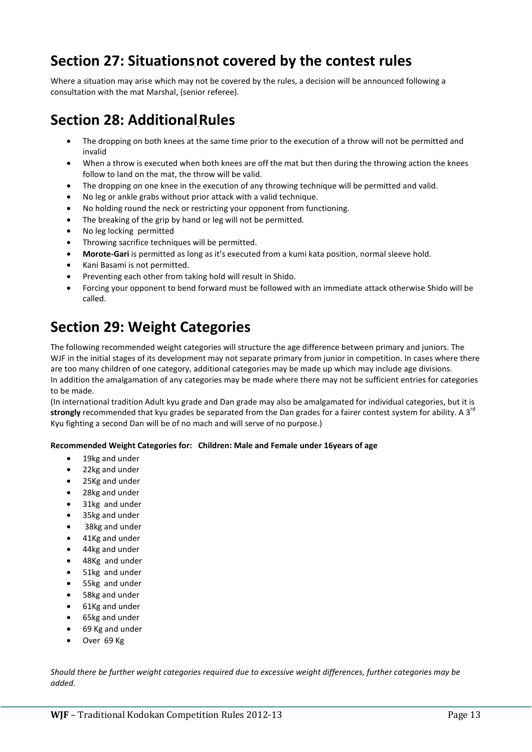### <span id="page-12-0"></span>**Section 27: Situationsnot covered by the contest rules**

Where a situation may arise which may not be covered by the rules, a decision will be announced following a consultation with the mat Marshal, (senior referee).

# <span id="page-12-1"></span>**Section 28: AdditionalRules**

- The dropping on both knees at the same time prior to the execution of a throw will not be permitted and invalid
- When a throw is executed when both knees are off the mat but then during the throwing action the knees follow to land on the mat, the throw will be valid.
- The dropping on one knee in the execution of any throwing technique will be permitted and valid.
- No leg or ankle grabs without prior attack with a valid technique.
- No holding round the neck or restricting your opponent from functioning.
- The breaking of the grip by hand or leg will not be permitted.
- No leg locking permitted
- Throwing sacrifice techniques will be permitted.
- **Morote-Gari** is permitted as long as it's executed from a kumi kata position, normal sleeve hold.
- Kani Basami is not permitted.
- Preventing each other from taking hold will result in Shido.
- Forcing your opponent to bend forward must be followed with an immediate attack otherwise Shido will be called.

### <span id="page-12-2"></span>**Section 29: Weight Categories**

The following recommended weight categories will structure the age difference between primary and juniors. The WJF in the initial stages of its development may not separate primary from junior in competition. In cases where there are too many children of one category, additional categories may be made up which may include age divisions. In addition the amalgamation of any categories may be made where there may not be sufficient entries for categories to be made.

(In international tradition Adult kyu grade and Dan grade may also be amalgamated for individual categories, but it is **strongly** recommended that kyu grades be separated from the Dan grades for a fairer contest system for ability. A 3<sup>rd</sup> Kyu fighting a second Dan will be of no mach and will serve of no purpose.)

#### **Recommended Weight Categories for: Children: Male and Female under 16years of age**

- 19kg and under
- 22kg and under
- 25Kg and under
- 28kg and under
- 31kg and under
- 35kg and under
- 38kg and under
- 41Kg and under
- 44kg and under
- 48Kg and under
- 51kg and under
- 55kg and under
- 58kg and under
- 61Kg and under
- 65kg and under
- 69 Kg and under
- Over 69 Kg

*Should there be further weight categories required due to excessive weight differences, further categories may be added.*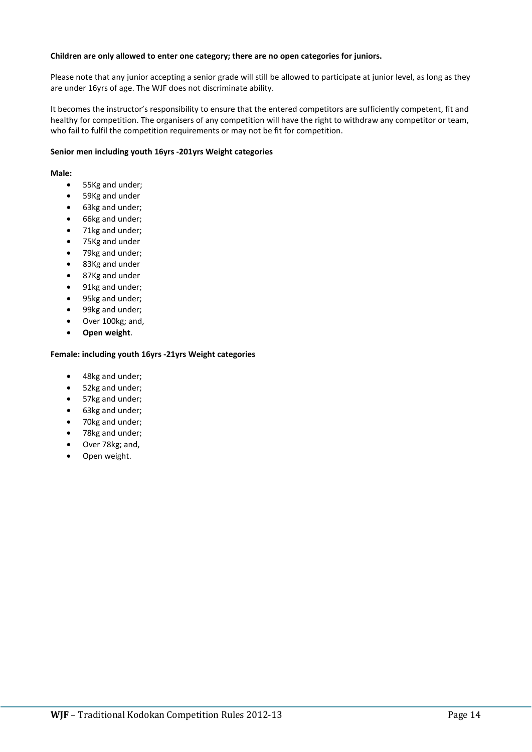#### **Children are only allowed to enter one category; there are no open categories for juniors.**

Please note that any junior accepting a senior grade will still be allowed to participate at junior level, as long as they are under 16yrs of age. The WJF does not discriminate ability.

It becomes the instructor's responsibility to ensure that the entered competitors are sufficiently competent, fit and healthy for competition. The organisers of any competition will have the right to withdraw any competitor or team, who fail to fulfil the competition requirements or may not be fit for competition.

#### **Senior men including youth 16yrs -201yrs Weight categories**

#### **Male:**

- 55Kg and under;
- 59Kg and under
- 63kg and under;
- 66kg and under;
- 71kg and under;
- 75Kg and under
- 79kg and under;
- 83Kg and under
- 87Kg and under
- 91kg and under;
- 95kg and under;
- 99kg and under;
- Over 100kg; and,
- **Open weight**.

#### **Female: including youth 16yrs -21yrs Weight categories**

- 48kg and under;
- 52kg and under;
- 57kg and under;
- 63kg and under;
- 70kg and under;
- 78kg and under;
- Over 78kg; and,
- Open weight.